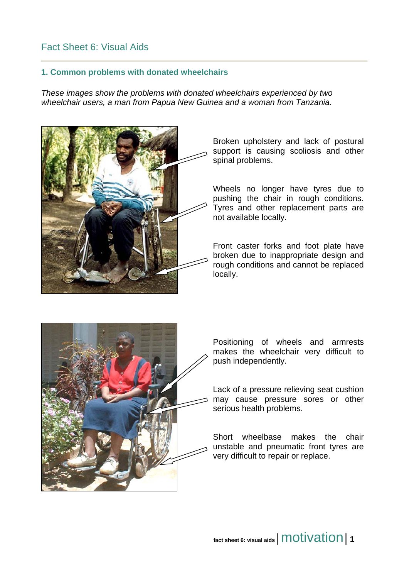## Fact Sheet 6: Visual Aids

## **1. Common problems with donated wheelchairs**

*These images show the problems with donated wheelchairs experienced by two wheelchair users, a man from Papua New Guinea and a woman from Tanzania.* 



Broken upholstery and lack of postural support is causing scoliosis and other spinal problems.

Wheels no longer have tyres due to pushing the chair in rough conditions. Tyres and other replacement parts are not available locally.

Front caster forks and foot plate have broken due to inappropriate design and rough conditions and cannot be replaced locally.



Positioning of wheels and armrests makes the wheelchair very difficult to push independently.

Lack of a pressure relieving seat cushion may cause pressure sores or other serious health problems.

Short wheelbase makes the chair unstable and pneumatic front tyres are very difficult to repair or replace.

fact sheet 6: visual aids | **MOtivation** | 1